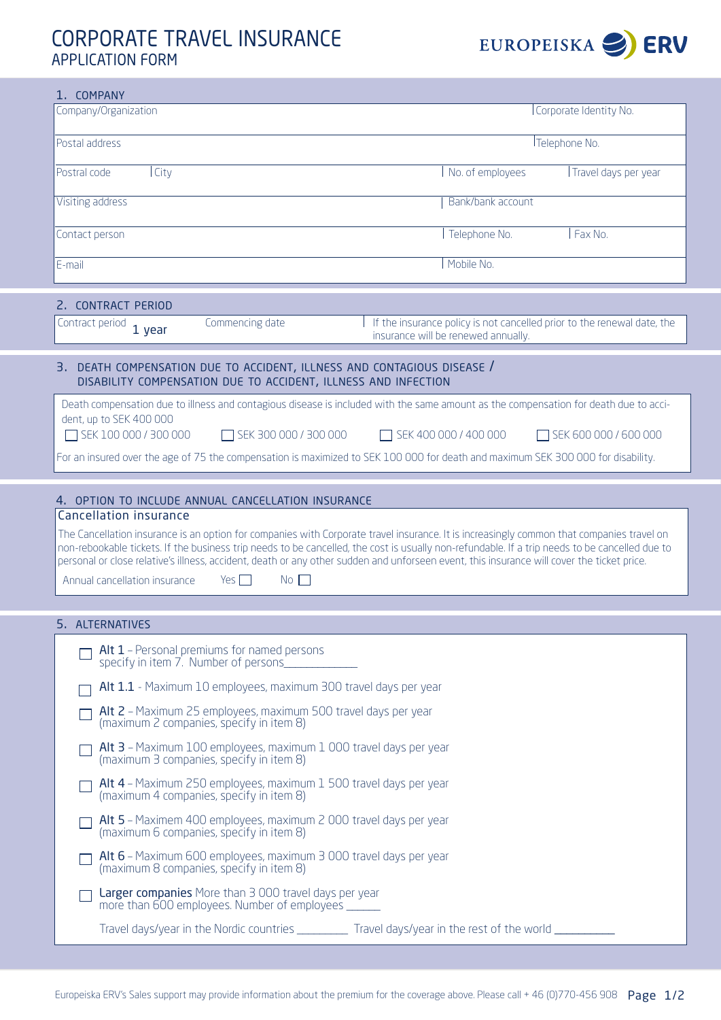## corporate travel insurance application form



| 1. COMPANY                                                                                                                                                                                                                                                                                                                                                                                                                                                                                                                      |                                     |                                                                         |  |  |  |
|---------------------------------------------------------------------------------------------------------------------------------------------------------------------------------------------------------------------------------------------------------------------------------------------------------------------------------------------------------------------------------------------------------------------------------------------------------------------------------------------------------------------------------|-------------------------------------|-------------------------------------------------------------------------|--|--|--|
| Company/Organization                                                                                                                                                                                                                                                                                                                                                                                                                                                                                                            | Corporate Identity No.              |                                                                         |  |  |  |
| Postal address                                                                                                                                                                                                                                                                                                                                                                                                                                                                                                                  | Telephone No.                       |                                                                         |  |  |  |
| Postral code<br>  City                                                                                                                                                                                                                                                                                                                                                                                                                                                                                                          | No. of employees                    | Travel days per year                                                    |  |  |  |
| Visiting address                                                                                                                                                                                                                                                                                                                                                                                                                                                                                                                | Bank/bank account                   |                                                                         |  |  |  |
| Contact person                                                                                                                                                                                                                                                                                                                                                                                                                                                                                                                  | Telephone No.                       | Fax No.                                                                 |  |  |  |
| E-mail                                                                                                                                                                                                                                                                                                                                                                                                                                                                                                                          | Mobile No.                          |                                                                         |  |  |  |
| 2. CONTRACT PERIOD                                                                                                                                                                                                                                                                                                                                                                                                                                                                                                              |                                     |                                                                         |  |  |  |
| Commencing date<br>Contract period<br>1 year                                                                                                                                                                                                                                                                                                                                                                                                                                                                                    | insurance will be renewed annually. | If the insurance policy is not cancelled prior to the renewal date, the |  |  |  |
| 3. DEATH COMPENSATION DUE TO ACCIDENT, ILLNESS AND CONTAGIOUS DISEASE /<br>DISABILITY COMPENSATION DUE TO ACCIDENT, ILLNESS AND INFECTION                                                                                                                                                                                                                                                                                                                                                                                       |                                     |                                                                         |  |  |  |
| Death compensation due to illness and contagious disease is included with the same amount as the compensation for death due to acci-<br>dent, up to SEK 400 000                                                                                                                                                                                                                                                                                                                                                                 |                                     |                                                                         |  |  |  |
| SEK 100 000 / 300 000<br>SEK 300 000 / 300 000                                                                                                                                                                                                                                                                                                                                                                                                                                                                                  | SEK 400 000 / 400 000               | $\Box$ SEK 600 000 / 600 000                                            |  |  |  |
| For an insured over the age of 75 the compensation is maximized to SEK 100 000 for death and maximum SEK 300 000 for disability.                                                                                                                                                                                                                                                                                                                                                                                                |                                     |                                                                         |  |  |  |
| <b>Cancellation insurance</b><br>The Cancellation insurance is an option for companies with Corporate travel insurance. It is increasingly common that companies travel on<br>non-rebookable tickets. If the business trip needs to be cancelled, the cost is usually non-refundable. If a trip needs to be cancelled due to<br>personal or close relative's illness, accident, death or any other sudden and unforseen event, this insurance will cover the ticket price.<br>Annual cancellation insurance<br>Yes $\Box$<br>No |                                     |                                                                         |  |  |  |
|                                                                                                                                                                                                                                                                                                                                                                                                                                                                                                                                 |                                     |                                                                         |  |  |  |
| 5. ALTERNATIVES                                                                                                                                                                                                                                                                                                                                                                                                                                                                                                                 |                                     |                                                                         |  |  |  |
| Alt 1 - Personal premiums for named persons<br>specify in item 7. Number of persons.                                                                                                                                                                                                                                                                                                                                                                                                                                            |                                     |                                                                         |  |  |  |
| Alt 1.1 - Maximum 10 employees, maximum 300 travel days per year                                                                                                                                                                                                                                                                                                                                                                                                                                                                |                                     |                                                                         |  |  |  |
| Alt 2 - Maximum 25 employees, maximum 500 travel days per year<br>(maximum 2 companies, specify in item 8)                                                                                                                                                                                                                                                                                                                                                                                                                      |                                     |                                                                         |  |  |  |
| Alt 3 - Maximum 100 employees, maximum 1 000 travel days per year<br>(maximum 3 companies, specify in item 8)                                                                                                                                                                                                                                                                                                                                                                                                                   |                                     |                                                                         |  |  |  |
| Alt 4 - Maximum 250 employees, maximum 1 500 travel days per year<br>(maximum 4 companies, specify in item 8)                                                                                                                                                                                                                                                                                                                                                                                                                   |                                     |                                                                         |  |  |  |
| Alt 5 - Maximem 400 employees, maximum 2 000 travel days per year<br>(maximum 6 companies, specify in item 8)                                                                                                                                                                                                                                                                                                                                                                                                                   |                                     |                                                                         |  |  |  |
| Alt 6 - Maximum 600 employees, maximum 3 000 travel days per year<br>(maximum 8 companies, specify in item 8)                                                                                                                                                                                                                                                                                                                                                                                                                   |                                     |                                                                         |  |  |  |
| Larger companies More than 3 000 travel days per year<br>more than 600 employees. Number of employees _______                                                                                                                                                                                                                                                                                                                                                                                                                   |                                     |                                                                         |  |  |  |
| Travel days/year in the Nordic countries ___________ Travel days/year in the rest of the world ___________                                                                                                                                                                                                                                                                                                                                                                                                                      |                                     |                                                                         |  |  |  |